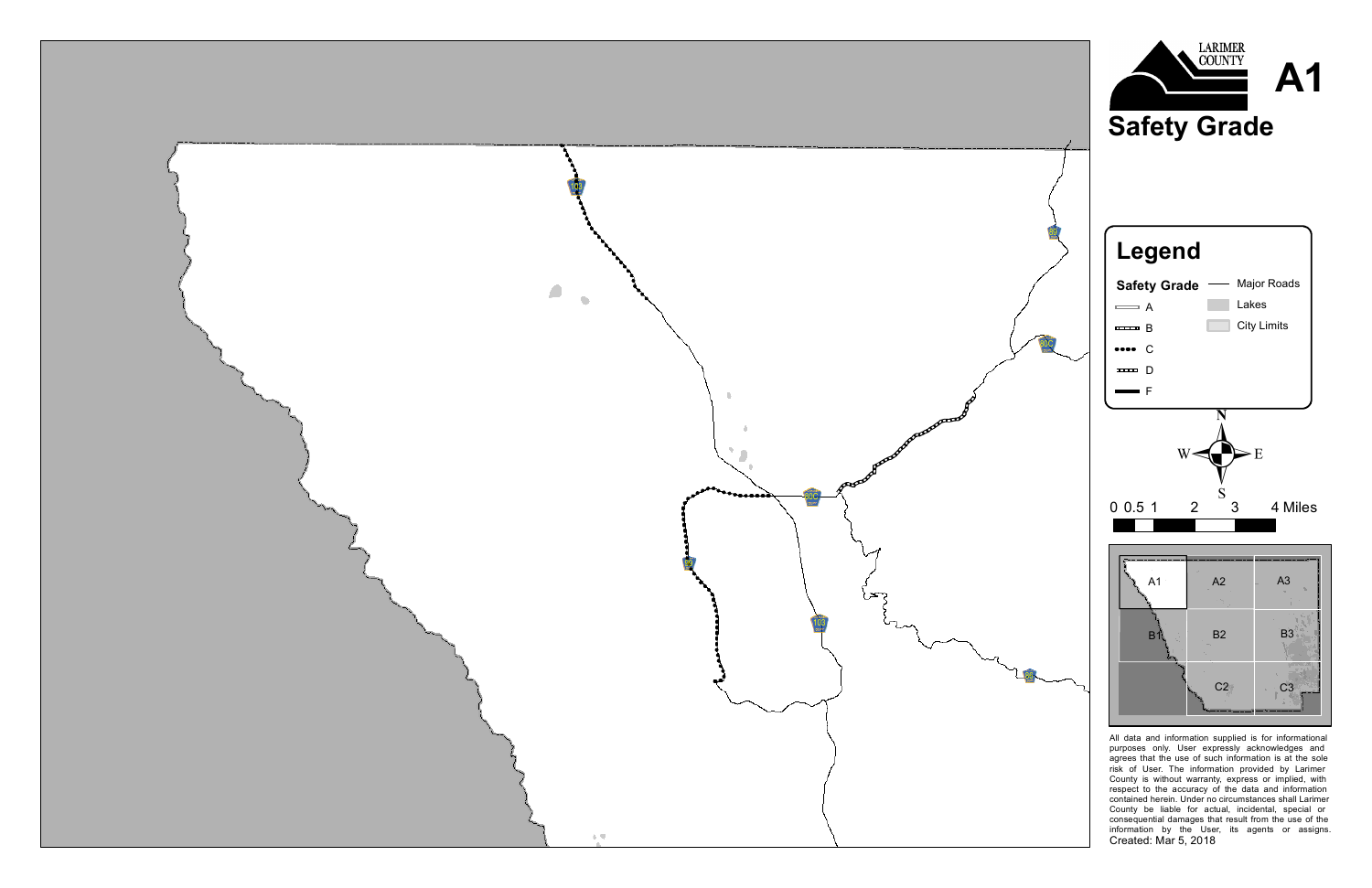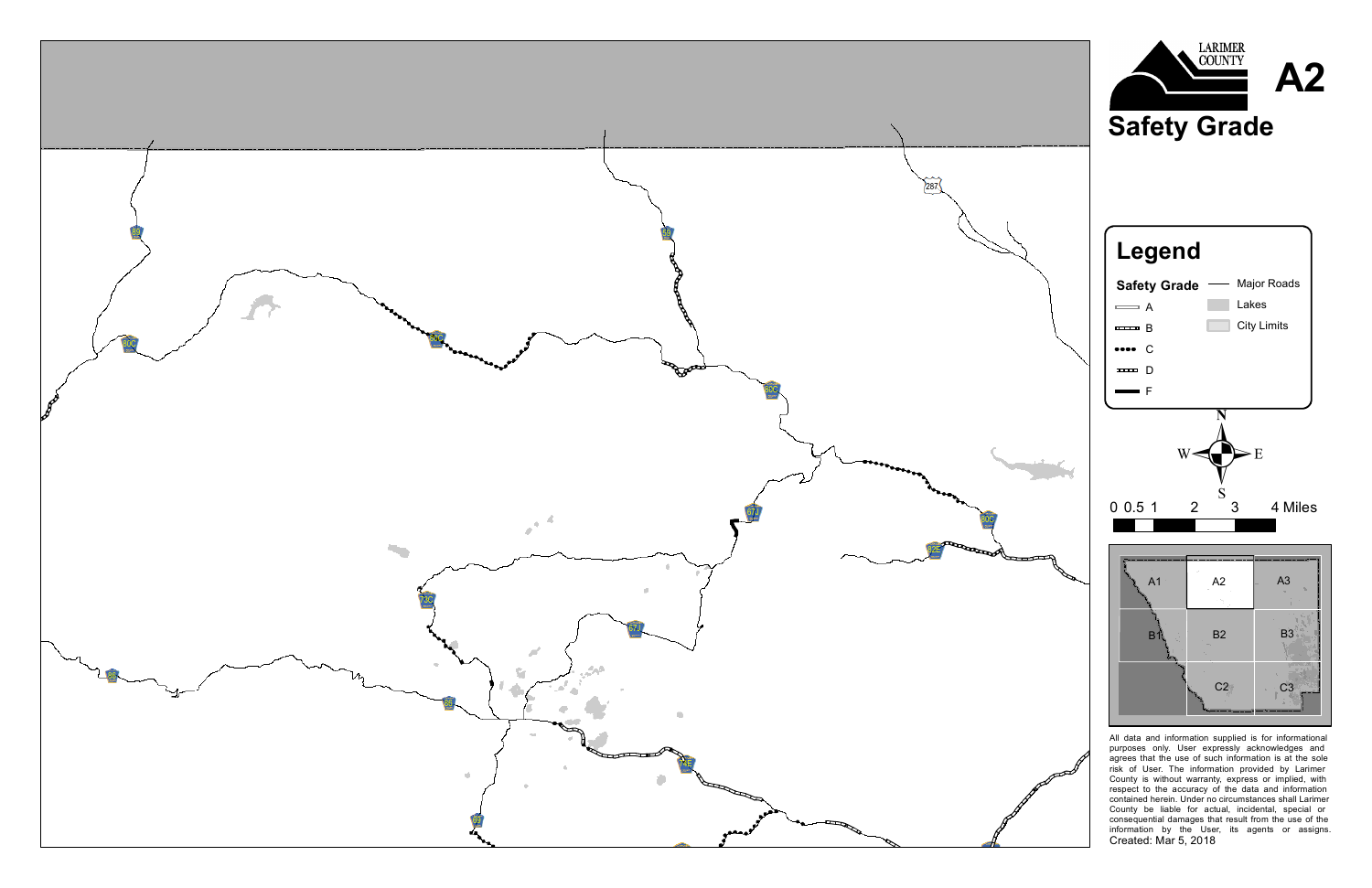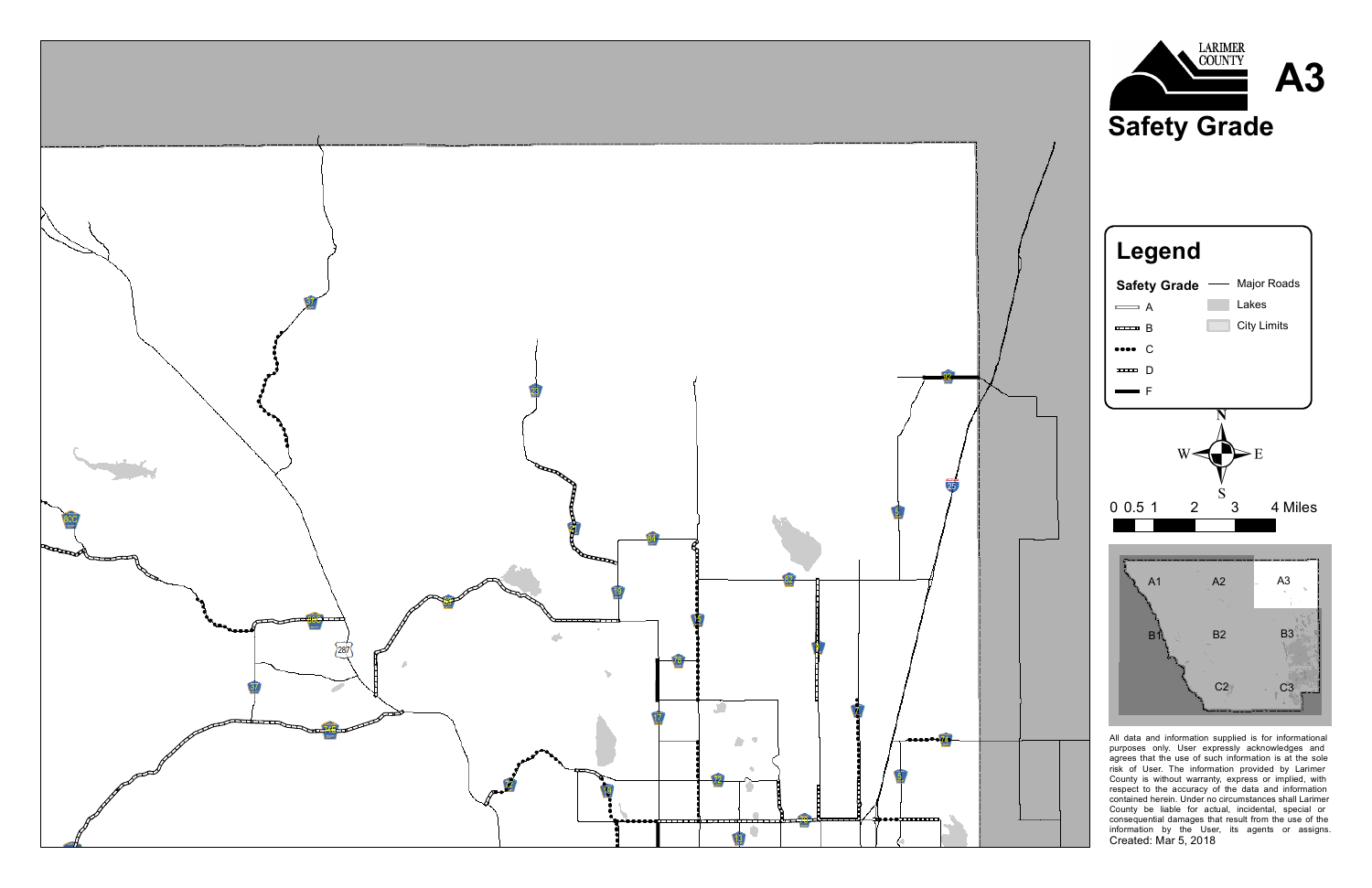





All data and information supplied is for informational purposes only. User expressly acknowledges and agrees that the use of such information is at the sole risk of User. The information provided by Larimer County is without warranty, express or implied, with respect to the accuracy of the data and information contained herein. Under no circumstances shall Larimer County be liable for actual, incidental, special or consequential damages that result from the use of the information by the User, its agents or assigns. Created: Mar 5, 2018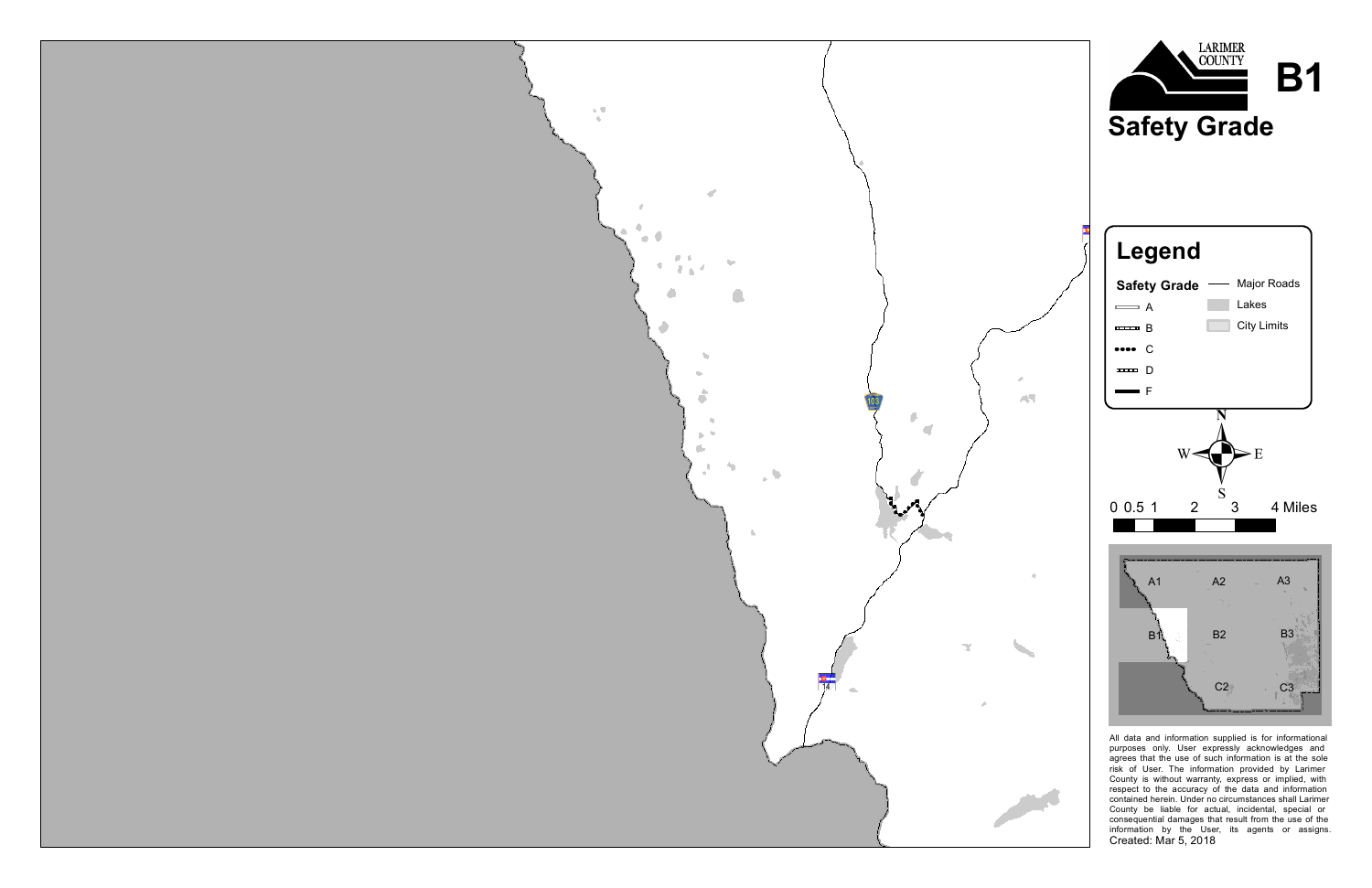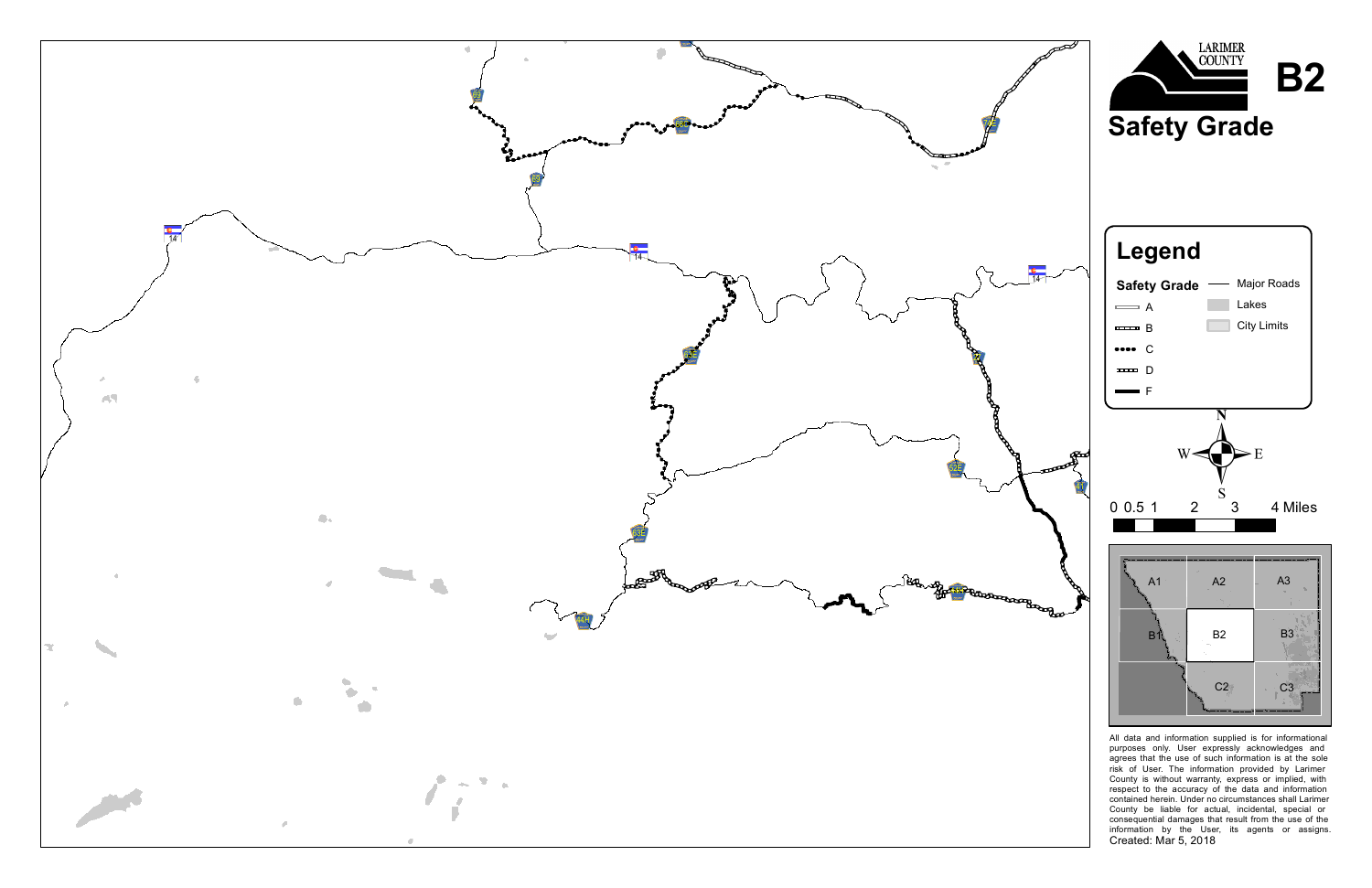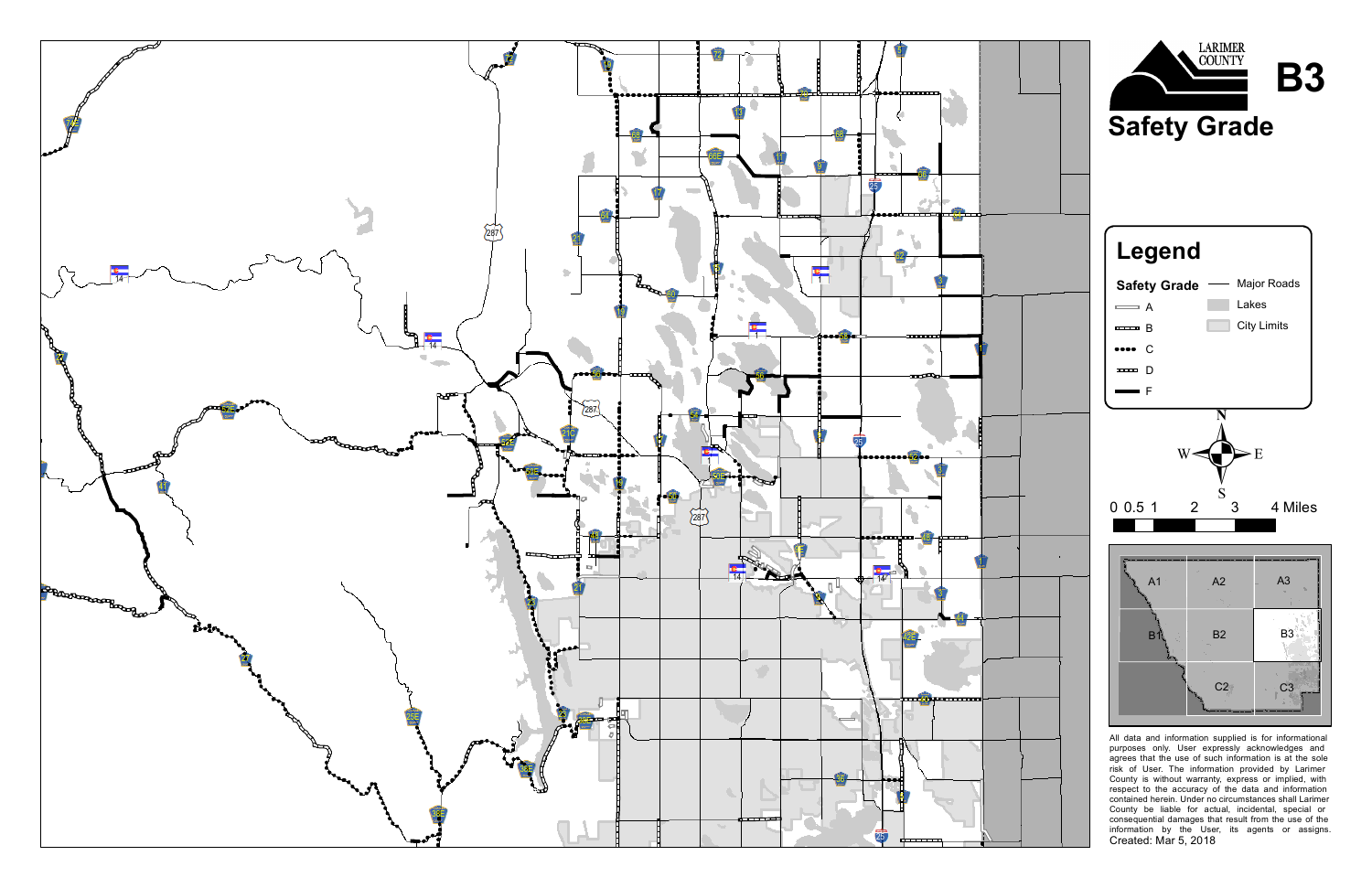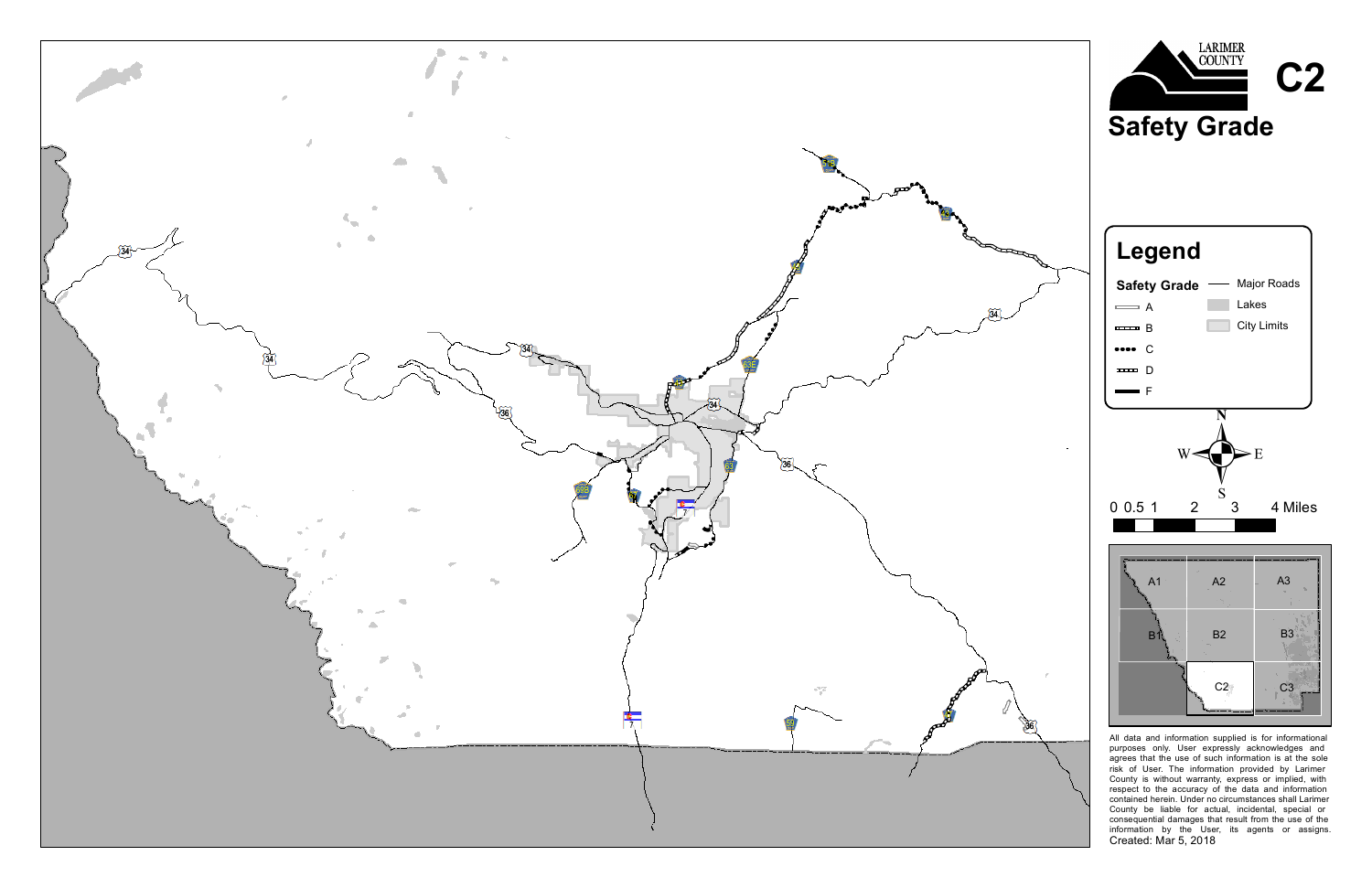